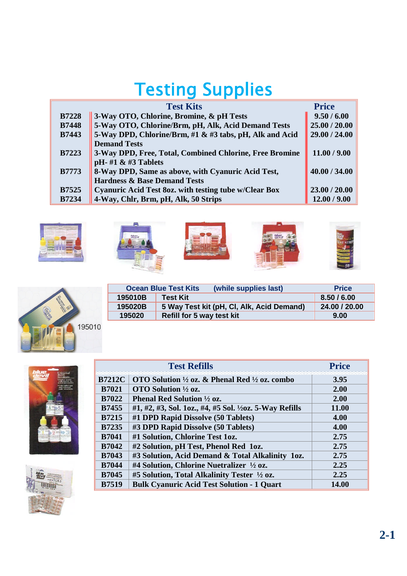## Testing Supplies

|              | <b>Test Kits</b>                                        | <b>Price</b>  |
|--------------|---------------------------------------------------------|---------------|
| <b>B7228</b> | 3-Way OTO, Chlorine, Bromine, & pH Tests                | 9.50 / 6.00   |
| <b>B7448</b> | 5-Way OTO, Chlorine/Brm, pH, Alk, Acid Demand Tests     | 25.00 / 20.00 |
| <b>B7443</b> | 5-Way DPD, Chlorine/Brm, #1 & #3 tabs, pH, Alk and Acid | 29.00 / 24.00 |
|              | <b>Demand Tests</b>                                     |               |
| <b>B7223</b> | 3-Way DPD, Free, Total, Combined Chlorine, Free Bromine | 11.00 / 9.00  |
|              | pH- $#1$ & $#3$ Tablets                                 |               |
| <b>B7773</b> | 8-Way DPD, Same as above, with Cyanuric Acid Test,      | 40.00 / 34.00 |
|              | <b>Hardness &amp; Base Demand Tests</b>                 |               |
| <b>B7525</b> | Cyanuric Acid Test 80z. with testing tube w/Clear Box   | 23.00 / 20.00 |
| <b>B7234</b> | 4-Way, Chlr, Brm, pH, Alk, 50 Strips                    | 12.00 / 9.00  |











|         | <b>Ocean Blue Test Kits</b><br>(while supplies last) | <b>Price</b>  |
|---------|------------------------------------------------------|---------------|
| 195010B | <b>Test Kit</b>                                      | 8.50/6.00     |
| 195020B | 5 Way Test kit (pH, CI, Alk, Acid Demand)            | 24.00 / 20.00 |
| 195020  | Refill for 5 way test kit                            | 9.00          |



| <b>Test Refills</b> |                                                                     | <b>Price</b> |
|---------------------|---------------------------------------------------------------------|--------------|
| <b>B7212C</b>       | OTO Solution $\frac{1}{2}$ oz. & Phenal Red $\frac{1}{2}$ oz. combo | 3.95         |
| <b>B7021</b>        | OTO Solution $\frac{1}{2}$ oz.                                      | 2.00         |
| <b>B7022</b>        | <b>Phenal Red Solution</b> $\frac{1}{2}$ oz.                        | 2.00         |
| <b>B7455</b>        | #1, #2, #3, Sol. 1oz., #4, #5 Sol. $\frac{1}{2}$ oz. 5-Way Refills  | 11.00        |
| <b>B7215</b>        | #1 DPD Rapid Dissolve (50 Tablets)                                  | 4.00         |
| <b>B7235</b>        | #3 DPD Rapid Dissolve (50 Tablets)                                  | 4.00         |
| <b>B7041</b>        | #1 Solution, Chlorine Test 1oz.                                     | 2.75         |
| <b>B7042</b>        | #2 Solution, pH Test, Phenol Red 1oz.                               | 2.75         |
| <b>B7043</b>        | #3 Solution, Acid Demand & Total Alkalinity 1oz.                    | 2.75         |
| <b>B7044</b>        | #4 Solution, Chlorine Nuetralizer 1/2 oz.                           | 2.25         |
| <b>B7045</b>        | #5 Solution, Total Alkalinity Tester 1/2 oz.                        | 2.25         |
| <b>B7519</b>        | <b>Bulk Cyanuric Acid Test Solution - 1 Quart</b>                   | 14.00        |